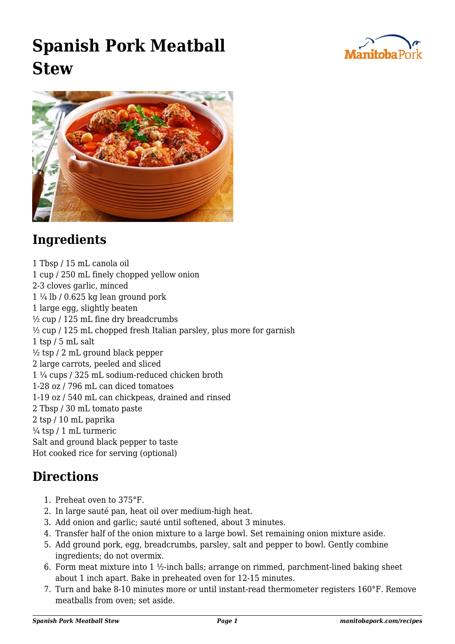## **Spanish Pork Meatball Stew**





## **Ingredients**

1 Tbsp / 15 mL canola oil 1 cup / 250 mL finely chopped yellow onion 2-3 cloves garlic, minced  $1\frac{1}{4}$  lb / 0.625 kg lean ground pork 1 large egg, slightly beaten  $\frac{1}{2}$  cup / 125 mL fine dry breadcrumbs  $\frac{1}{2}$  cup / 125 mL chopped fresh Italian parsley, plus more for garnish 1 tsp / 5 mL salt  $\frac{1}{2}$  tsp / 2 mL ground black pepper 2 large carrots, peeled and sliced 1 ¼ cups / 325 mL sodium-reduced chicken broth 1-28 oz / 796 mL can diced tomatoes 1-19 oz / 540 mL can chickpeas, drained and rinsed 2 Tbsp / 30 mL tomato paste 2 tsp / 10 mL paprika  $\frac{1}{4}$  tsp / 1 mL turmeric Salt and ground black pepper to taste Hot cooked rice for serving (optional)

## **Directions**

- 1. Preheat oven to 375°F.
- 2. In large sauté pan, heat oil over medium-high heat.
- 3. Add onion and garlic; sauté until softened, about 3 minutes.
- 4. Transfer half of the onion mixture to a large bowl. Set remaining onion mixture aside.
- 5. Add ground pork, egg, breadcrumbs, parsley, salt and pepper to bowl. Gently combine ingredients; do not overmix.
- 6. Form meat mixture into 1  $\frac{1}{2}$ -inch balls; arrange on rimmed, parchment-lined baking sheet about 1 inch apart. Bake in preheated oven for 12-15 minutes.
- 7. Turn and bake 8-10 minutes more or until instant-read thermometer registers 160°F. Remove meatballs from oven; set aside.